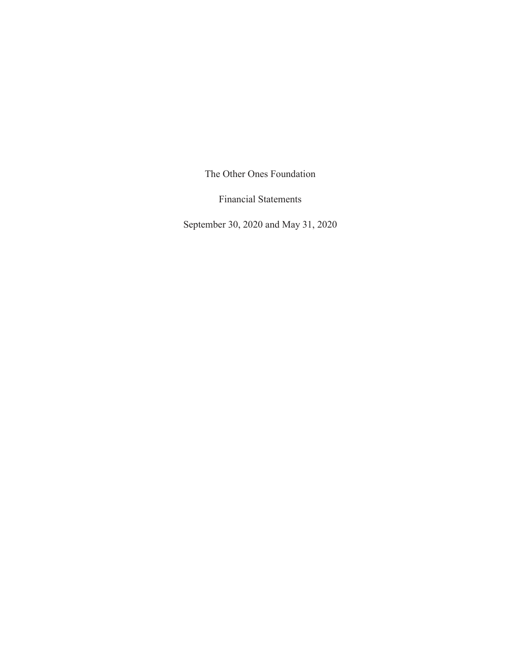The Other Ones Foundation

Financial Statements

September 30, 2020 and May 31, 2020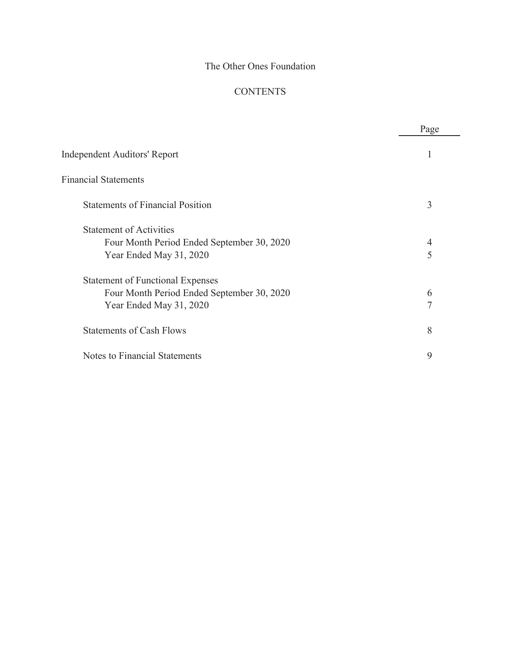# The Other Ones Foundation

## **CONTENTS**

|                                            | Page   |
|--------------------------------------------|--------|
| <b>Independent Auditors' Report</b>        |        |
| <b>Financial Statements</b>                |        |
| <b>Statements of Financial Position</b>    | 3      |
| <b>Statement of Activities</b>             |        |
| Four Month Period Ended September 30, 2020 | 4      |
| Year Ended May 31, 2020                    | 5      |
| <b>Statement of Functional Expenses</b>    |        |
| Four Month Period Ended September 30, 2020 | 6      |
| Year Ended May 31, 2020                    | $\tau$ |
| <b>Statements of Cash Flows</b>            | 8      |
| <b>Notes to Financial Statements</b>       | 9      |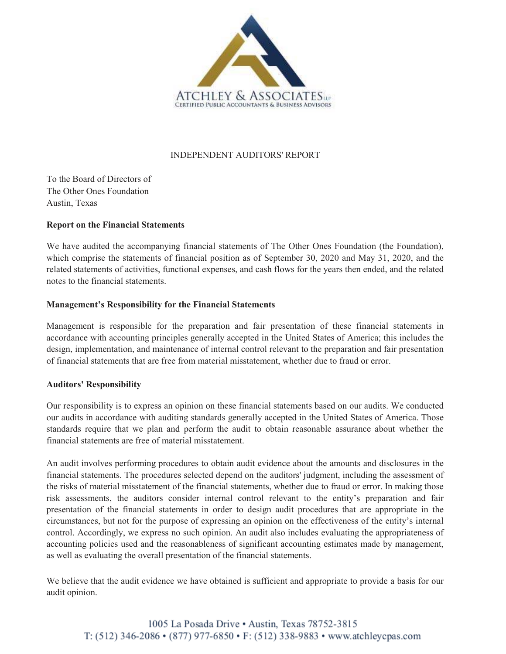

#### INDEPENDENT AUDITORS' REPORT

To the Board of Directors of The Other Ones Foundation Austin, Texas

#### **Report on the Financial Statements**

We have audited the accompanying financial statements of The Other Ones Foundation (the Foundation), which comprise the statements of financial position as of September 30, 2020 and May 31, 2020, and the related statements of activities, functional expenses, and cash flows for the years then ended, and the related notes to the financial statements.

#### **Management's Responsibility for the Financial Statements**

Management is responsible for the preparation and fair presentation of these financial statements in accordance with accounting principles generally accepted in the United States of America; this includes the design, implementation, and maintenance of internal control relevant to the preparation and fair presentation of financial statements that are free from material misstatement, whether due to fraud or error.

#### **Auditors' Responsibility**

Our responsibility is to express an opinion on these financial statements based on our audits. We conducted our audits in accordance with auditing standards generally accepted in the United States of America. Those standards require that we plan and perform the audit to obtain reasonable assurance about whether the financial statements are free of material misstatement.

An audit involves performing procedures to obtain audit evidence about the amounts and disclosures in the financial statements. The procedures selected depend on the auditors' judgment, including the assessment of the risks of material misstatement of the financial statements, whether due to fraud or error. In making those risk assessments, the auditors consider internal control relevant to the entity's preparation and fair presentation of the financial statements in order to design audit procedures that are appropriate in the circumstances, but not for the purpose of expressing an opinion on the effectiveness of the entity's internal control. Accordingly, we express no such opinion. An audit also includes evaluating the appropriateness of accounting policies used and the reasonableness of significant accounting estimates made by management, as well as evaluating the overall presentation of the financial statements.

We believe that the audit evidence we have obtained is sufficient and appropriate to provide a basis for our audit opinion.

1005 La Posada Drive · Austin, Texas 78752-3815 T:  $(512)$  346-2086 •  $(877)$  977-6850 • F:  $(512)$  338-9883 • www.atchleycpas.com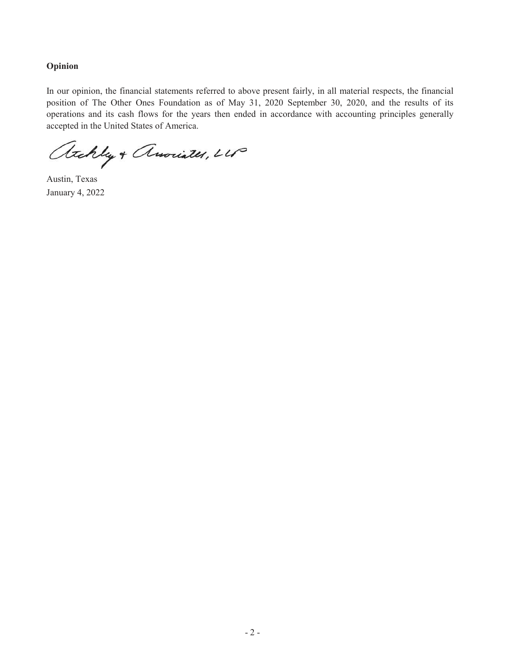#### **Opinion**

In our opinion, the financial statements referred to above present fairly, in all material respects, the financial position of The Other Ones Foundation as of May 31, 2020 September 30, 2020, and the results of its operations and its cash flows for the years then ended in accordance with accounting principles generally accepted in the United States of America.

achly + Anounter, LUP

Austin, Texas January 4, 2022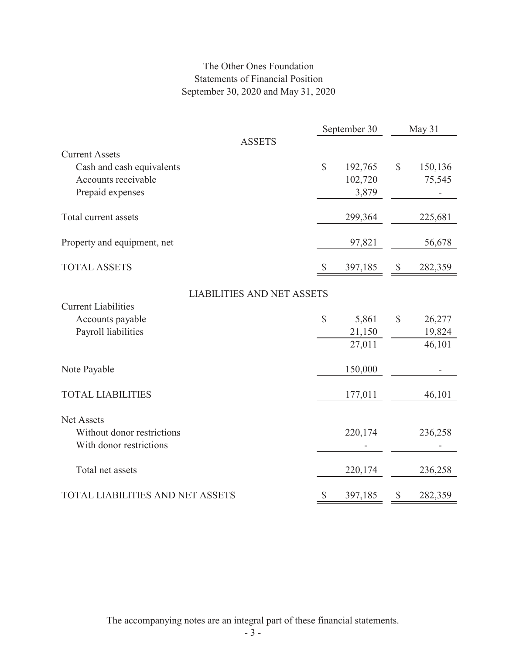## The Other Ones Foundation Statements of Financial Position September 30, 2020 and May 31, 2020

|                                  |                                   |                           | September 30 | May 31       |         |  |
|----------------------------------|-----------------------------------|---------------------------|--------------|--------------|---------|--|
|                                  | <b>ASSETS</b>                     |                           |              |              |         |  |
| <b>Current Assets</b>            |                                   |                           |              |              |         |  |
| Cash and cash equivalents        |                                   | $\mathcal{S}$             | 192,765      | $\mathbb{S}$ | 150,136 |  |
| Accounts receivable              |                                   |                           | 102,720      |              | 75,545  |  |
| Prepaid expenses                 |                                   |                           | 3,879        |              |         |  |
| Total current assets             |                                   |                           | 299,364      |              | 225,681 |  |
| Property and equipment, net      |                                   |                           | 97,821       |              | 56,678  |  |
|                                  |                                   |                           |              |              |         |  |
| <b>TOTAL ASSETS</b>              |                                   | $\boldsymbol{\mathsf{S}}$ | 397,185      | \$           | 282,359 |  |
|                                  | <b>LIABILITIES AND NET ASSETS</b> |                           |              |              |         |  |
| <b>Current Liabilities</b>       |                                   |                           |              |              |         |  |
| Accounts payable                 |                                   | $\mathcal{S}$             | 5,861        | $\mathbb{S}$ | 26,277  |  |
| Payroll liabilities              |                                   |                           | 21,150       |              | 19,824  |  |
|                                  |                                   |                           | 27,011       |              | 46,101  |  |
| Note Payable                     |                                   |                           | 150,000      |              |         |  |
| <b>TOTAL LIABILITIES</b>         |                                   |                           | 177,011      |              | 46,101  |  |
|                                  |                                   |                           |              |              |         |  |
| <b>Net Assets</b>                |                                   |                           |              |              |         |  |
| Without donor restrictions       |                                   |                           | 220,174      |              | 236,258 |  |
| With donor restrictions          |                                   |                           |              |              |         |  |
| Total net assets                 |                                   |                           | 220,174      |              | 236,258 |  |
| TOTAL LIABILITIES AND NET ASSETS |                                   | $\mathbb{S}$              | 397,185      | \$           | 282,359 |  |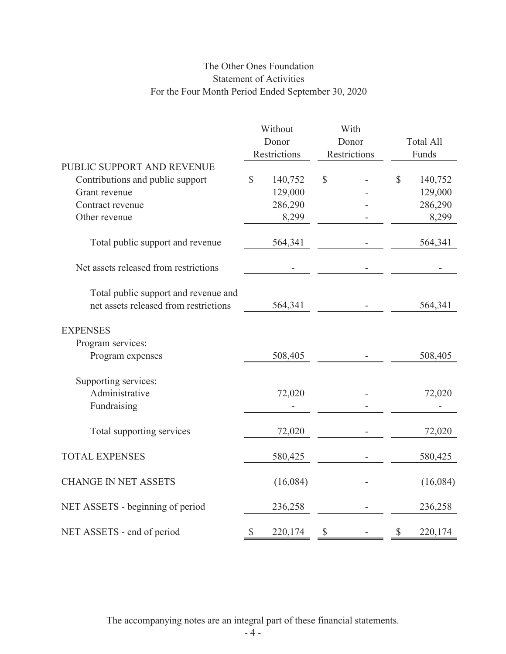# The Other Ones Foundation Statement of Activities For the Four Month Period Ended September 30, 2020

|                                       | Without       |              | With         |  |                  |          |
|---------------------------------------|---------------|--------------|--------------|--|------------------|----------|
|                                       |               | Donor        | Donor        |  | <b>Total All</b> |          |
|                                       |               | Restrictions | Restrictions |  | Funds            |          |
| PUBLIC SUPPORT AND REVENUE            |               |              |              |  |                  |          |
| Contributions and public support      | $\mathbb{S}$  | 140,752      | \$           |  | $\mathbb{S}$     | 140,752  |
| Grant revenue                         |               | 129,000      |              |  |                  | 129,000  |
| Contract revenue                      |               | 286,290      |              |  |                  | 286,290  |
| Other revenue                         |               | 8,299        |              |  |                  | 8,299    |
| Total public support and revenue      |               | 564,341      |              |  |                  | 564,341  |
| Net assets released from restrictions |               |              |              |  |                  |          |
| Total public support and revenue and  |               |              |              |  |                  |          |
| net assets released from restrictions |               | 564,341      |              |  |                  | 564,341  |
| <b>EXPENSES</b>                       |               |              |              |  |                  |          |
| Program services:                     |               |              |              |  |                  |          |
| Program expenses                      |               | 508,405      |              |  |                  | 508,405  |
| Supporting services:                  |               |              |              |  |                  |          |
| Administrative                        |               | 72,020       |              |  |                  | 72,020   |
| Fundraising                           |               |              |              |  |                  |          |
| Total supporting services             |               | 72,020       |              |  |                  | 72,020   |
| <b>TOTAL EXPENSES</b>                 |               | 580,425      |              |  |                  | 580,425  |
| <b>CHANGE IN NET ASSETS</b>           |               | (16,084)     |              |  |                  | (16,084) |
| NET ASSETS - beginning of period      |               | 236,258      |              |  |                  | 236,258  |
| NET ASSETS - end of period            | $\mathcal{S}$ | 220,174      | \$           |  | \$               | 220,174  |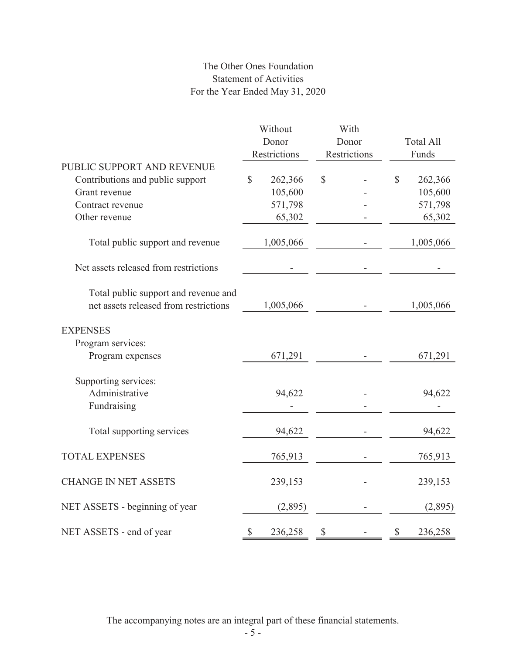## The Other Ones Foundation Statement of Activities For the Year Ended May 31, 2020

|                                       |               | Without   |               | With                     |                  |              |       |
|---------------------------------------|---------------|-----------|---------------|--------------------------|------------------|--------------|-------|
|                                       |               | Donor     |               | Donor                    | <b>Total All</b> |              |       |
|                                       |               |           | Restrictions  |                          |                  | Restrictions | Funds |
| PUBLIC SUPPORT AND REVENUE            |               |           |               |                          |                  |              |       |
| Contributions and public support      | $\mathbb{S}$  | 262,366   | $\mathcal{S}$ |                          | \$<br>262,366    |              |       |
| Grant revenue                         |               | 105,600   |               |                          | 105,600          |              |       |
| Contract revenue                      |               | 571,798   |               |                          | 571,798          |              |       |
| Other revenue                         |               | 65,302    |               |                          | 65,302           |              |       |
| Total public support and revenue      |               | 1,005,066 |               |                          | 1,005,066        |              |       |
| Net assets released from restrictions |               |           |               |                          |                  |              |       |
| Total public support and revenue and  |               |           |               |                          |                  |              |       |
| net assets released from restrictions |               | 1,005,066 |               |                          | 1,005,066        |              |       |
| <b>EXPENSES</b>                       |               |           |               |                          |                  |              |       |
| Program services:                     |               |           |               |                          |                  |              |       |
| Program expenses                      |               | 671,291   |               |                          | 671,291          |              |       |
| Supporting services:                  |               |           |               |                          |                  |              |       |
| Administrative                        |               | 94,622    |               |                          | 94,622           |              |       |
| Fundraising                           |               |           |               |                          |                  |              |       |
| Total supporting services             |               | 94,622    |               | $\overline{\phantom{0}}$ | 94,622           |              |       |
| <b>TOTAL EXPENSES</b>                 |               | 765,913   |               |                          | 765,913          |              |       |
| <b>CHANGE IN NET ASSETS</b>           |               | 239,153   |               |                          | 239,153          |              |       |
| NET ASSETS - beginning of year        |               | (2,895)   |               |                          | (2,895)          |              |       |
| NET ASSETS - end of year              | $\mathcal{S}$ | 236,258   | $\mathcal{S}$ |                          | \$<br>236,258    |              |       |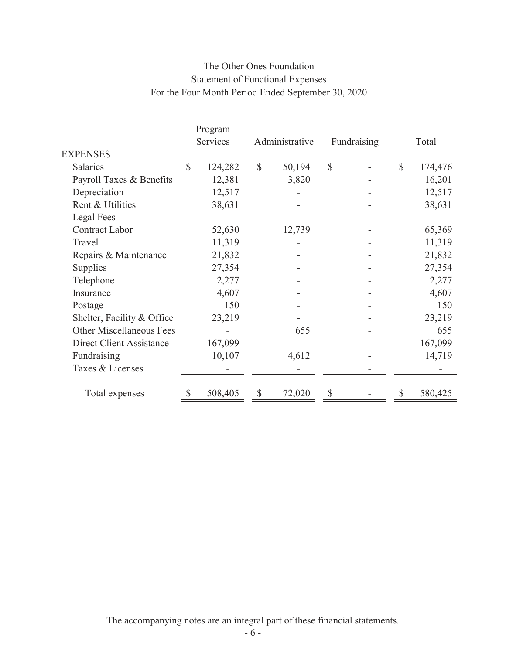# For the Four Month Period Ended September 30, 2020 The Other Ones Foundation Statement of Functional Expenses

|                                 |              | Program  |              |                |             |              |         |
|---------------------------------|--------------|----------|--------------|----------------|-------------|--------------|---------|
|                                 |              | Services |              | Administrative | Fundraising |              | Total   |
| <b>EXPENSES</b>                 |              |          |              |                |             |              |         |
| Salaries                        | $\mathbb{S}$ | 124,282  | $\mathbb{S}$ | 50,194         | \$          | $\mathbb{S}$ | 174,476 |
| Payroll Taxes & Benefits        |              | 12,381   |              | 3,820          |             |              | 16,201  |
| Depreciation                    |              | 12,517   |              |                |             |              | 12,517  |
| Rent & Utilities                |              | 38,631   |              |                |             |              | 38,631  |
| Legal Fees                      |              |          |              |                |             |              |         |
| <b>Contract Labor</b>           |              | 52,630   |              | 12,739         |             |              | 65,369  |
| Travel                          |              | 11,319   |              |                |             |              | 11,319  |
| Repairs & Maintenance           |              | 21,832   |              |                |             |              | 21,832  |
| Supplies                        |              | 27,354   |              |                |             |              | 27,354  |
| Telephone                       |              | 2,277    |              |                |             |              | 2,277   |
| Insurance                       |              | 4,607    |              |                |             |              | 4,607   |
| Postage                         |              | 150      |              |                |             |              | 150     |
| Shelter, Facility & Office      |              | 23,219   |              |                |             |              | 23,219  |
| <b>Other Miscellaneous Fees</b> |              |          |              | 655            |             |              | 655     |
| <b>Direct Client Assistance</b> |              | 167,099  |              |                |             |              | 167,099 |
| Fundraising                     |              | 10,107   |              | 4,612          |             |              | 14,719  |
| Taxes & Licenses                |              |          |              |                |             |              |         |
| Total expenses                  |              | 508,405  | S            | 72,020         | \$          |              | 580,425 |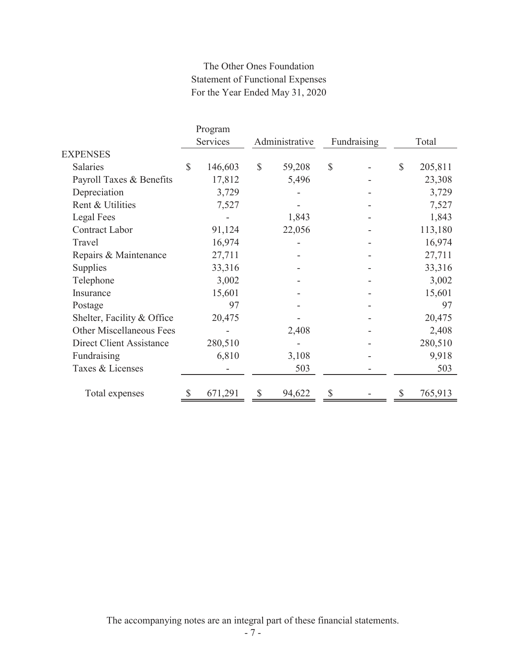# The Other Ones Foundation Statement of Functional Expenses For the Year Ended May 31, 2020

|                                 |               | Program  |              |                |              |             |              |         |
|---------------------------------|---------------|----------|--------------|----------------|--------------|-------------|--------------|---------|
|                                 |               | Services |              | Administrative |              | Fundraising |              | Total   |
| <b>EXPENSES</b>                 |               |          |              |                |              |             |              |         |
| Salaries                        | $\mathcal{S}$ | 146,603  | $\mathbb{S}$ | 59,208         | $\mathbb{S}$ |             | $\mathbb{S}$ | 205,811 |
| Payroll Taxes & Benefits        |               | 17,812   |              | 5,496          |              |             |              | 23,308  |
| Depreciation                    |               | 3,729    |              |                |              |             |              | 3,729   |
| Rent & Utilities                |               | 7,527    |              |                |              |             |              | 7,527   |
| Legal Fees                      |               |          |              | 1,843          |              |             |              | 1,843   |
| <b>Contract Labor</b>           |               | 91,124   |              | 22,056         |              |             |              | 113,180 |
| Travel                          |               | 16,974   |              |                |              |             |              | 16,974  |
| Repairs & Maintenance           |               | 27,711   |              |                |              |             |              | 27,711  |
| Supplies                        |               | 33,316   |              |                |              |             |              | 33,316  |
| Telephone                       |               | 3,002    |              |                |              |             |              | 3,002   |
| Insurance                       |               | 15,601   |              |                |              |             |              | 15,601  |
| Postage                         |               | 97       |              |                |              |             |              | 97      |
| Shelter, Facility & Office      |               | 20,475   |              |                |              |             |              | 20,475  |
| <b>Other Miscellaneous Fees</b> |               |          |              | 2,408          |              |             |              | 2,408   |
| Direct Client Assistance        |               | 280,510  |              |                |              |             |              | 280,510 |
| Fundraising                     |               | 6,810    |              | 3,108          |              |             |              | 9,918   |
| Taxes & Licenses                |               |          |              | 503            |              |             |              | 503     |
| Total expenses                  |               | 671,291  | S            | 94,622         |              |             | S            | 765,913 |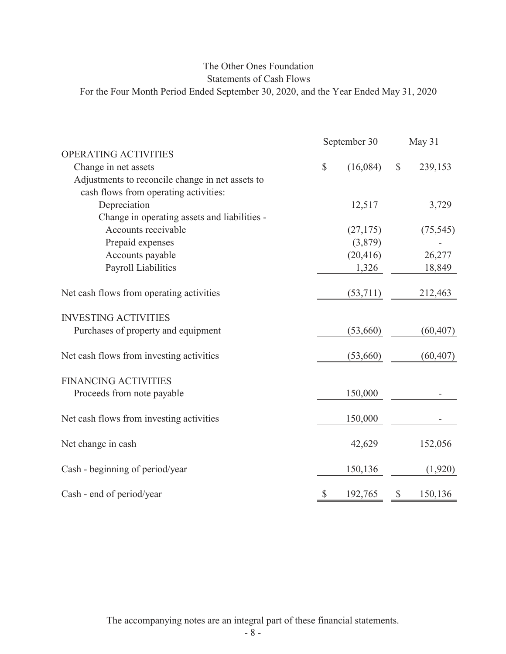## The Other Ones Foundation

Statements of Cash Flows

For the Four Month Period Ended September 30, 2020, and the Year Ended May 31, 2020

|                                                  |               | September 30 | May 31        |           |  |
|--------------------------------------------------|---------------|--------------|---------------|-----------|--|
| OPERATING ACTIVITIES                             |               |              |               |           |  |
| Change in net assets                             | $\mathcal{S}$ | (16,084)     | $\mathcal{S}$ | 239,153   |  |
| Adjustments to reconcile change in net assets to |               |              |               |           |  |
| cash flows from operating activities:            |               |              |               |           |  |
| Depreciation                                     |               | 12,517       |               | 3,729     |  |
| Change in operating assets and liabilities -     |               |              |               |           |  |
| Accounts receivable                              |               | (27, 175)    |               | (75, 545) |  |
| Prepaid expenses                                 |               | (3,879)      |               |           |  |
| Accounts payable                                 |               | (20, 416)    |               | 26,277    |  |
| Payroll Liabilities                              |               | 1,326        |               | 18,849    |  |
| Net cash flows from operating activities         |               | (53,711)     |               | 212,463   |  |
| <b>INVESTING ACTIVITIES</b>                      |               |              |               |           |  |
| Purchases of property and equipment              |               | (53,660)     |               | (60, 407) |  |
| Net cash flows from investing activities         |               | (53,660)     |               | (60, 407) |  |
| <b>FINANCING ACTIVITIES</b>                      |               |              |               |           |  |
| Proceeds from note payable                       |               | 150,000      |               |           |  |
| Net cash flows from investing activities         |               | 150,000      |               |           |  |
| Net change in cash                               |               | 42,629       |               | 152,056   |  |
| Cash - beginning of period/year                  |               | 150,136      |               | (1,920)   |  |
| Cash - end of period/year                        | \$            | 192,765      | \$            | 150,136   |  |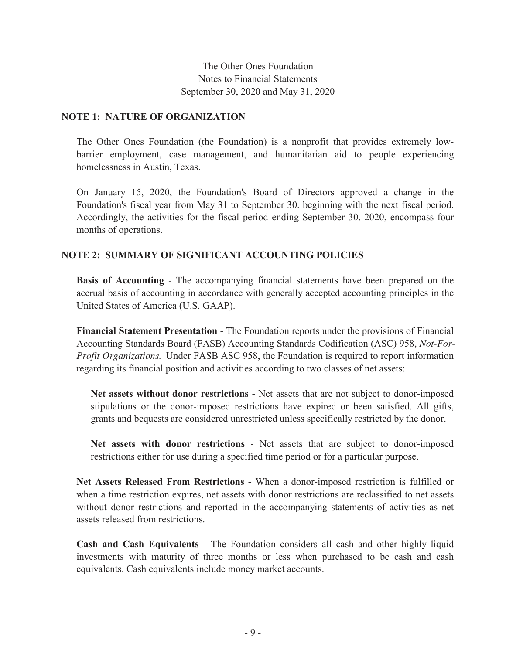### **NOTE 1: NATURE OF ORGANIZATION**

The Other Ones Foundation (the Foundation) is a nonprofit that provides extremely lowbarrier employment, case management, and humanitarian aid to people experiencing homelessness in Austin, Texas.

On January 15, 2020, the Foundation's Board of Directors approved a change in the Foundation's fiscal year from May 31 to September 30. beginning with the next fiscal period. Accordingly, the activities for the fiscal period ending September 30, 2020, encompass four months of operations.

## **NOTE 2: SUMMARY OF SIGNIFICANT ACCOUNTING POLICIES**

**Basis of Accounting** - The accompanying financial statements have been prepared on the accrual basis of accounting in accordance with generally accepted accounting principles in the United States of America (U.S. GAAP).

**Financial Statement Presentation** - The Foundation reports under the provisions of Financial Accounting Standards Board (FASB) Accounting Standards Codification (ASC) 958, *Not-For-Profit Organizations.* Under FASB ASC 958, the Foundation is required to report information regarding its financial position and activities according to two classes of net assets:

**Net assets without donor restrictions** - Net assets that are not subject to donor-imposed stipulations or the donor-imposed restrictions have expired or been satisfied. All gifts, grants and bequests are considered unrestricted unless specifically restricted by the donor.

**Net assets with donor restrictions** - Net assets that are subject to donor-imposed restrictions either for use during a specified time period or for a particular purpose.

**Net Assets Released From Restrictions -** When a donor-imposed restriction is fulfilled or when a time restriction expires, net assets with donor restrictions are reclassified to net assets without donor restrictions and reported in the accompanying statements of activities as net assets released from restrictions.

**Cash and Cash Equivalents** - The Foundation considers all cash and other highly liquid investments with maturity of three months or less when purchased to be cash and cash equivalents. Cash equivalents include money market accounts.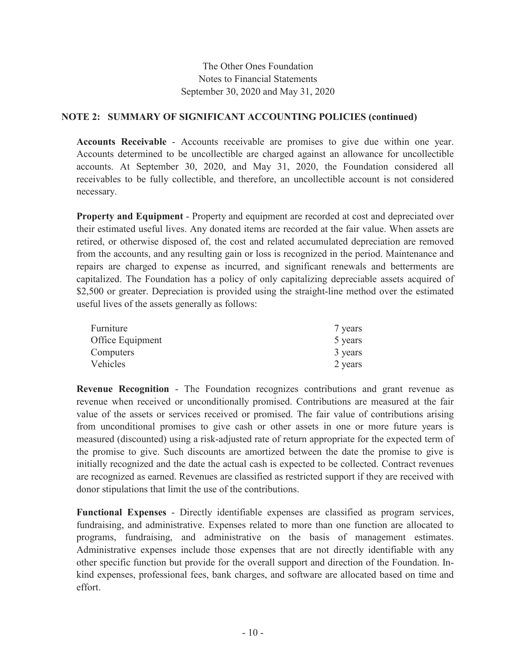### **NOTE 2: SUMMARY OF SIGNIFICANT ACCOUNTING POLICIES (continued)**

**Accounts Receivable** - Accounts receivable are promises to give due within one year. Accounts determined to be uncollectible are charged against an allowance for uncollectible accounts. At September 30, 2020, and May 31, 2020, the Foundation considered all receivables to be fully collectible, and therefore, an uncollectible account is not considered necessary.

**Property and Equipment** - Property and equipment are recorded at cost and depreciated over their estimated useful lives. Any donated items are recorded at the fair value. When assets are retired, or otherwise disposed of, the cost and related accumulated depreciation are removed from the accounts, and any resulting gain or loss is recognized in the period. Maintenance and repairs are charged to expense as incurred, and significant renewals and betterments are capitalized. The Foundation has a policy of only capitalizing depreciable assets acquired of \$2,500 or greater. Depreciation is provided using the straight-line method over the estimated useful lives of the assets generally as follows:

| Furniture        | 7 years |
|------------------|---------|
| Office Equipment | 5 years |
| Computers        | 3 years |
| Vehicles         | 2 years |

**Revenue Recognition** - The Foundation recognizes contributions and grant revenue as revenue when received or unconditionally promised. Contributions are measured at the fair value of the assets or services received or promised. The fair value of contributions arising from unconditional promises to give cash or other assets in one or more future years is measured (discounted) using a risk-adjusted rate of return appropriate for the expected term of the promise to give. Such discounts are amortized between the date the promise to give is initially recognized and the date the actual cash is expected to be collected. Contract revenues are recognized as earned. Revenues are classified as restricted support if they are received with donor stipulations that limit the use of the contributions.

**Functional Expenses** - Directly identifiable expenses are classified as program services, fundraising, and administrative. Expenses related to more than one function are allocated to programs, fundraising, and administrative on the basis of management estimates. Administrative expenses include those expenses that are not directly identifiable with any other specific function but provide for the overall support and direction of the Foundation. Inkind expenses, professional fees, bank charges, and software are allocated based on time and effort.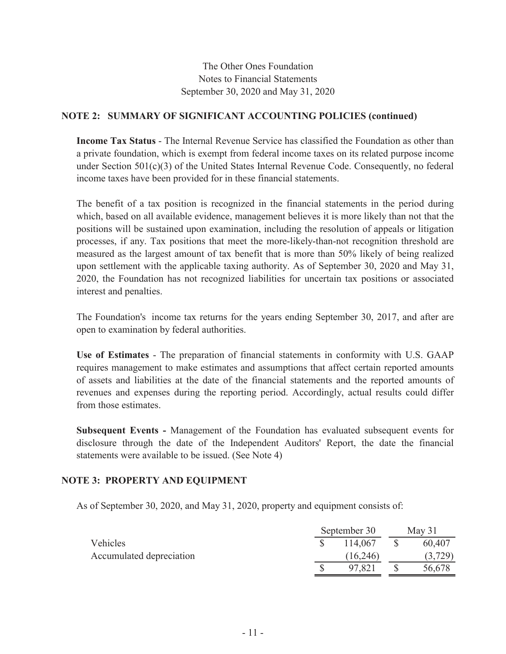### **NOTE 2: SUMMARY OF SIGNIFICANT ACCOUNTING POLICIES (continued)**

**Income Tax Status** - The Internal Revenue Service has classified the Foundation as other than a private foundation, which is exempt from federal income taxes on its related purpose income under Section 501(c)(3) of the United States Internal Revenue Code. Consequently, no federal income taxes have been provided for in these financial statements.

The benefit of a tax position is recognized in the financial statements in the period during which, based on all available evidence, management believes it is more likely than not that the positions will be sustained upon examination, including the resolution of appeals or litigation processes, if any. Tax positions that meet the more-likely-than-not recognition threshold are measured as the largest amount of tax benefit that is more than 50% likely of being realized upon settlement with the applicable taxing authority. As of September 30, 2020 and May 31, 2020, the Foundation has not recognized liabilities for uncertain tax positions or associated interest and penalties.

The Foundation's income tax returns for the years ending September 30, 2017, and after are open to examination by federal authorities.

**Use of Estimates** - The preparation of financial statements in conformity with U.S. GAAP requires management to make estimates and assumptions that affect certain reported amounts of assets and liabilities at the date of the financial statements and the reported amounts of revenues and expenses during the reporting period. Accordingly, actual results could differ from those estimates.

**Subsequent Events -** Management of the Foundation has evaluated subsequent events for disclosure through the date of the Independent Auditors' Report, the date the financial statements were available to be issued. (See Note 4)

## **NOTE 3: PROPERTY AND EQUIPMENT**

As of September 30, 2020, and May 31, 2020, property and equipment consists of:

|                          | September 30 |  |         |
|--------------------------|--------------|--|---------|
| Vehicles                 | 114,067      |  | 60,407  |
| Accumulated depreciation | (16,246)     |  | (3,729) |
|                          | 97.821       |  | 56,678  |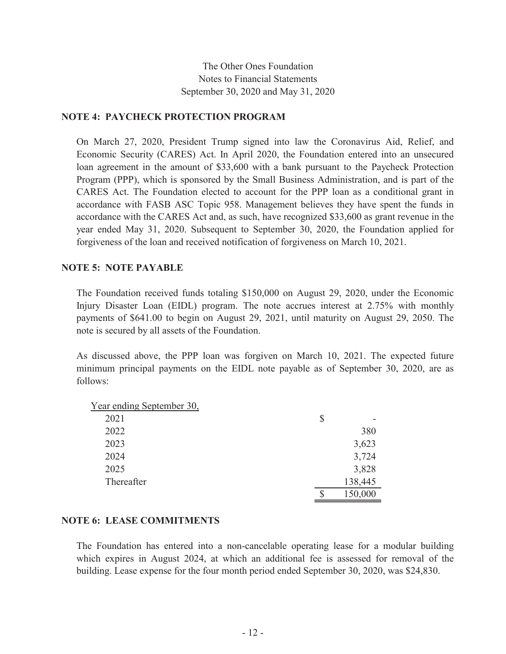#### **NOTE 4: PAYCHECK PROTECTION PROGRAM**

On March 27, 2020, President Trump signed into law the Coronavirus Aid, Relief, and Economic Security (CARES) Act. In April 2020, the Foundation entered into an unsecured loan agreement in the amount of \$33,600 with a bank pursuant to the Paycheck Protection Program (PPP), which is sponsored by the Small Business Administration, and is part of the CARES Act. The Foundation elected to account for the PPP loan as a conditional grant in accordance with FASB ASC Topic 958. Management believes they have spent the funds in accordance with the CARES Act and, as such, have recognized \$33,600 as grant revenue in the year ended May 31, 2020. Subsequent to September 30, 2020, the Foundation applied for forgiveness of the loan and received notification of forgiveness on March 10, 2021.

#### **NOTE 5: NOTE PAYABLE**

The Foundation received funds totaling \$150,000 on August 29, 2020, under the Economic Injury Disaster Loan (EIDL) program. The note accrues interest at 2.75% with monthly payments of \$641.00 to begin on August 29, 2021, until maturity on August 29, 2050. The note is secured by all assets of the Foundation.

As discussed above, the PPP loan was forgiven on March 10, 2021. The expected future minimum principal payments on the EIDL note payable as of September 30, 2020, are as follows:

| Year ending September 30, |         |  |
|---------------------------|---------|--|
| 2021                      | \$      |  |
| 2022                      | 380     |  |
| 2023                      | 3,623   |  |
| 2024                      | 3,724   |  |
| 2025                      | 3,828   |  |
| Thereafter                | 138,445 |  |
|                           | 150,000 |  |

#### **NOTE 6: LEASE COMMITMENTS**

The Foundation has entered into a non-cancelable operating lease for a modular building which expires in August 2024, at which an additional fee is assessed for removal of the building. Lease expense for the four month period ended September 30, 2020, was \$24,830.